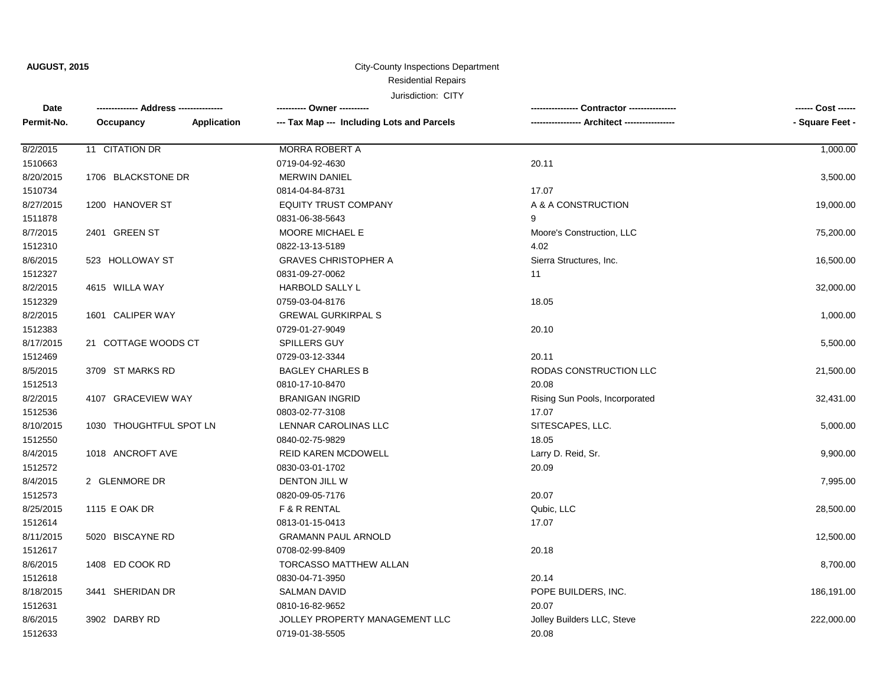### Residential Repairs City-County Inspections Department

| Date       |                         |                    | ---------- Owner ----------                |                                | ------ Cost ------ |
|------------|-------------------------|--------------------|--------------------------------------------|--------------------------------|--------------------|
| Permit-No. | Occupancy               | <b>Application</b> | --- Tax Map --- Including Lots and Parcels | Architect --                   | - Square Feet -    |
| 8/2/2015   | 11 CITATION DR          |                    | <b>MORRA ROBERT A</b>                      |                                | 1,000.00           |
| 1510663    |                         |                    | 0719-04-92-4630                            | 20.11                          |                    |
| 8/20/2015  | 1706 BLACKSTONE DR      |                    | <b>MERWIN DANIEL</b>                       |                                | 3,500.00           |
| 1510734    |                         |                    | 0814-04-84-8731                            | 17.07                          |                    |
| 8/27/2015  | 1200 HANOVER ST         |                    | <b>EQUITY TRUST COMPANY</b>                | A & A CONSTRUCTION             | 19,000.00          |
| 1511878    |                         |                    | 0831-06-38-5643                            | 9                              |                    |
| 8/7/2015   | 2401 GREEN ST           |                    | MOORE MICHAEL E                            | Moore's Construction, LLC      | 75,200.00          |
| 1512310    |                         |                    | 0822-13-13-5189                            | 4.02                           |                    |
| 8/6/2015   | 523 HOLLOWAY ST         |                    | <b>GRAVES CHRISTOPHER A</b>                | Sierra Structures, Inc.        | 16,500.00          |
| 1512327    |                         |                    | 0831-09-27-0062                            | 11                             |                    |
| 8/2/2015   | 4615 WILLA WAY          |                    | <b>HARBOLD SALLY L</b>                     |                                | 32,000.00          |
| 1512329    |                         |                    | 0759-03-04-8176                            | 18.05                          |                    |
| 8/2/2015   | 1601 CALIPER WAY        |                    | <b>GREWAL GURKIRPAL S</b>                  |                                | 1,000.00           |
| 1512383    |                         |                    | 0729-01-27-9049                            | 20.10                          |                    |
| 8/17/2015  | 21 COTTAGE WOODS CT     |                    | SPILLERS GUY                               |                                | 5,500.00           |
| 1512469    |                         |                    | 0729-03-12-3344                            | 20.11                          |                    |
| 8/5/2015   | 3709 ST MARKS RD        |                    | <b>BAGLEY CHARLES B</b>                    | RODAS CONSTRUCTION LLC         | 21,500.00          |
| 1512513    |                         |                    | 0810-17-10-8470                            | 20.08                          |                    |
| 8/2/2015   | 4107 GRACEVIEW WAY      |                    | <b>BRANIGAN INGRID</b>                     | Rising Sun Pools, Incorporated | 32,431.00          |
| 1512536    |                         |                    | 0803-02-77-3108                            | 17.07                          |                    |
| 8/10/2015  | 1030 THOUGHTFUL SPOT LN |                    | LENNAR CAROLINAS LLC                       | SITESCAPES, LLC.               | 5,000.00           |
| 1512550    |                         |                    | 0840-02-75-9829                            | 18.05                          |                    |
| 8/4/2015   | 1018 ANCROFT AVE        |                    | <b>REID KAREN MCDOWELL</b>                 | Larry D. Reid, Sr.             | 9,900.00           |
| 1512572    |                         |                    | 0830-03-01-1702                            | 20.09                          |                    |
| 8/4/2015   | 2 GLENMORE DR           |                    | DENTON JILL W                              |                                | 7,995.00           |
| 1512573    |                         |                    | 0820-09-05-7176                            | 20.07                          |                    |
| 8/25/2015  | 1115 E OAK DR           |                    | F & R RENTAL                               | Qubic, LLC                     | 28,500.00          |
| 1512614    |                         |                    | 0813-01-15-0413                            | 17.07                          |                    |
| 8/11/2015  | 5020 BISCAYNE RD        |                    | <b>GRAMANN PAUL ARNOLD</b>                 |                                | 12,500.00          |
| 1512617    |                         |                    | 0708-02-99-8409                            | 20.18                          |                    |
| 8/6/2015   | 1408 ED COOK RD         |                    | TORCASSO MATTHEW ALLAN                     |                                | 8,700.00           |
| 1512618    |                         |                    | 0830-04-71-3950                            | 20.14                          |                    |
| 8/18/2015  | 3441 SHERIDAN DR        |                    | <b>SALMAN DAVID</b>                        | POPE BUILDERS, INC.            | 186,191.00         |
| 1512631    |                         |                    | 0810-16-82-9652                            | 20.07                          |                    |
| 8/6/2015   | 3902 DARBY RD           |                    | JOLLEY PROPERTY MANAGEMENT LLC             | Jolley Builders LLC, Steve     | 222,000.00         |
| 1512633    |                         |                    | 0719-01-38-5505                            | 20.08                          |                    |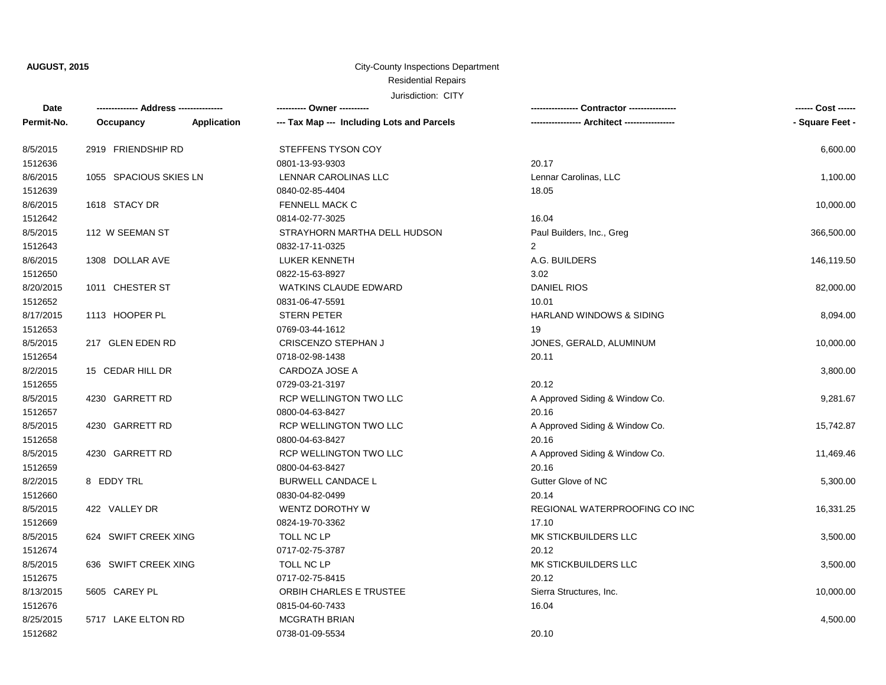# Residential Repairs City-County Inspections Department

| Date       |                        |             | --------- Owner ---------                  |                                     | ------ Cost ------ |
|------------|------------------------|-------------|--------------------------------------------|-------------------------------------|--------------------|
| Permit-No. | Occupancy              | Application | --- Tax Map --- Including Lots and Parcels | - Architect -----------------       | - Square Feet -    |
| 8/5/2015   | 2919 FRIENDSHIP RD     |             | STEFFENS TYSON COY                         |                                     | 6,600.00           |
| 1512636    |                        |             | 0801-13-93-9303                            | 20.17                               |                    |
| 8/6/2015   | 1055 SPACIOUS SKIES LN |             | LENNAR CAROLINAS LLC                       | Lennar Carolinas, LLC               | 1,100.00           |
| 1512639    |                        |             | 0840-02-85-4404                            | 18.05                               |                    |
| 8/6/2015   | 1618 STACY DR          |             | FENNELL MACK C                             |                                     | 10,000.00          |
| 1512642    |                        |             | 0814-02-77-3025                            | 16.04                               |                    |
| 8/5/2015   | 112 W SEEMAN ST        |             | STRAYHORN MARTHA DELL HUDSON               | Paul Builders, Inc., Greg           | 366,500.00         |
| 1512643    |                        |             | 0832-17-11-0325                            | $\overline{2}$                      |                    |
| 8/6/2015   | 1308 DOLLAR AVE        |             | LUKER KENNETH                              | A.G. BUILDERS                       | 146,119.50         |
| 1512650    |                        |             | 0822-15-63-8927                            | 3.02                                |                    |
| 8/20/2015  | 1011 CHESTER ST        |             | <b>WATKINS CLAUDE EDWARD</b>               | <b>DANIEL RIOS</b>                  | 82,000.00          |
| 1512652    |                        |             | 0831-06-47-5591                            | 10.01                               |                    |
| 8/17/2015  | 1113 HOOPER PL         |             | STERN PETER                                | <b>HARLAND WINDOWS &amp; SIDING</b> | 8,094.00           |
| 1512653    |                        |             | 0769-03-44-1612                            | 19                                  |                    |
| 8/5/2015   | 217 GLEN EDEN RD       |             | CRISCENZO STEPHAN J                        | JONES, GERALD, ALUMINUM             | 10,000.00          |
| 1512654    |                        |             | 0718-02-98-1438                            | 20.11                               |                    |
| 8/2/2015   | 15 CEDAR HILL DR       |             | CARDOZA JOSE A                             |                                     | 3,800.00           |
| 1512655    |                        |             | 0729-03-21-3197                            | 20.12                               |                    |
| 8/5/2015   | 4230 GARRETT RD        |             | RCP WELLINGTON TWO LLC                     | A Approved Siding & Window Co.      | 9,281.67           |
| 1512657    |                        |             | 0800-04-63-8427                            | 20.16                               |                    |
| 8/5/2015   | 4230 GARRETT RD        |             | RCP WELLINGTON TWO LLC                     | A Approved Siding & Window Co.      | 15,742.87          |
| 1512658    |                        |             | 0800-04-63-8427                            | 20.16                               |                    |
| 8/5/2015   | 4230 GARRETT RD        |             | RCP WELLINGTON TWO LLC                     | A Approved Siding & Window Co.      | 11,469.46          |
| 1512659    |                        |             | 0800-04-63-8427                            | 20.16                               |                    |
| 8/2/2015   | 8 EDDY TRL             |             | <b>BURWELL CANDACE L</b>                   | Gutter Glove of NC                  | 5,300.00           |
| 1512660    |                        |             | 0830-04-82-0499                            | 20.14                               |                    |
| 8/5/2015   | 422 VALLEY DR          |             | WENTZ DOROTHY W                            | REGIONAL WATERPROOFING CO INC       | 16,331.25          |
| 1512669    |                        |             | 0824-19-70-3362                            | 17.10                               |                    |
| 8/5/2015   | 624 SWIFT CREEK XING   |             | TOLL NC LP                                 | MK STICKBUILDERS LLC                | 3,500.00           |
| 1512674    |                        |             | 0717-02-75-3787                            | 20.12                               |                    |
| 8/5/2015   | 636 SWIFT CREEK XING   |             | TOLL NC LP                                 | MK STICKBUILDERS LLC                | 3,500.00           |
| 1512675    |                        |             | 0717-02-75-8415                            | 20.12                               |                    |
| 8/13/2015  | 5605 CAREY PL          |             | ORBIH CHARLES E TRUSTEE                    | Sierra Structures, Inc.             | 10,000.00          |
| 1512676    |                        |             | 0815-04-60-7433                            | 16.04                               |                    |
| 8/25/2015  | 5717 LAKE ELTON RD     |             | <b>MCGRATH BRIAN</b>                       |                                     | 4,500.00           |
| 1512682    |                        |             | 0738-01-09-5534                            | 20.10                               |                    |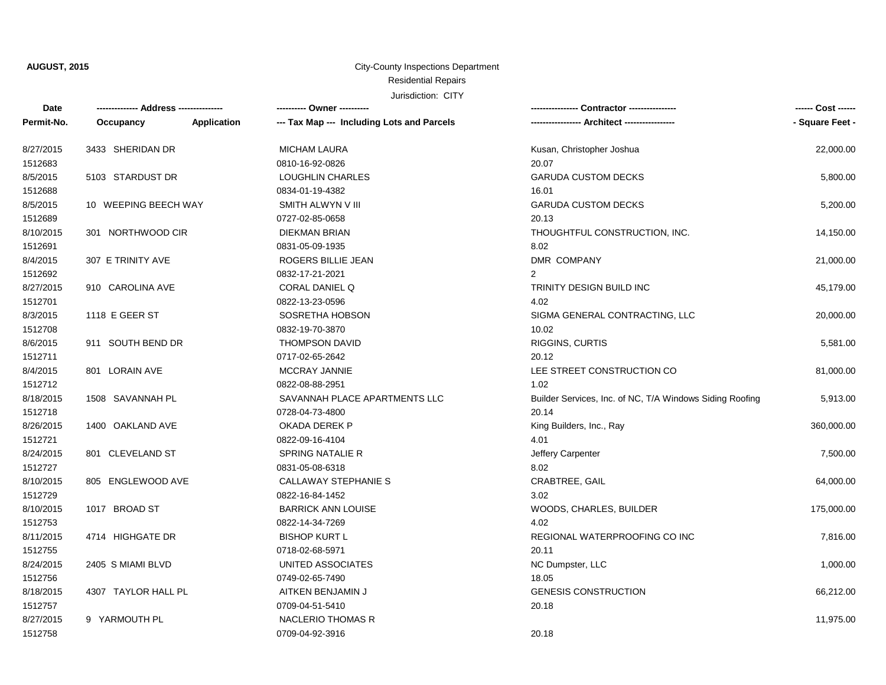### Residential Repairs City-County Inspections Department

| Date       | ------------- Address -------------- |             | ---------- Owner ----------                |                                                          | ------ Cost ------ |
|------------|--------------------------------------|-------------|--------------------------------------------|----------------------------------------------------------|--------------------|
| Permit-No. | Occupancy                            | Application | --- Tax Map --- Including Lots and Parcels |                                                          | - Square Feet -    |
| 8/27/2015  | 3433 SHERIDAN DR                     |             | <b>MICHAM LAURA</b>                        | Kusan, Christopher Joshua                                | 22,000.00          |
| 1512683    |                                      |             | 0810-16-92-0826                            | 20.07                                                    |                    |
| 8/5/2015   | 5103 STARDUST DR                     |             | LOUGHLIN CHARLES                           | <b>GARUDA CUSTOM DECKS</b>                               | 5,800.00           |
| 1512688    |                                      |             | 0834-01-19-4382                            | 16.01                                                    |                    |
| 8/5/2015   | 10 WEEPING BEECH WAY                 |             | SMITH ALWYN V III                          | <b>GARUDA CUSTOM DECKS</b>                               | 5,200.00           |
| 1512689    |                                      |             | 0727-02-85-0658                            | 20.13                                                    |                    |
| 8/10/2015  | 301 NORTHWOOD CIR                    |             | DIEKMAN BRIAN                              | THOUGHTFUL CONSTRUCTION, INC.                            | 14,150.00          |
| 1512691    |                                      |             | 0831-05-09-1935                            | 8.02                                                     |                    |
| 8/4/2015   | 307 E TRINITY AVE                    |             | ROGERS BILLIE JEAN                         | DMR COMPANY                                              | 21,000.00          |
| 1512692    |                                      |             | 0832-17-21-2021                            | $\overline{2}$                                           |                    |
| 8/27/2015  | 910 CAROLINA AVE                     |             | CORAL DANIEL Q                             | TRINITY DESIGN BUILD INC                                 | 45,179.00          |
| 1512701    |                                      |             | 0822-13-23-0596                            | 4.02                                                     |                    |
| 8/3/2015   | 1118 E GEER ST                       |             | SOSRETHA HOBSON                            | SIGMA GENERAL CONTRACTING, LLC                           | 20,000.00          |
| 1512708    |                                      |             | 0832-19-70-3870                            | 10.02                                                    |                    |
| 8/6/2015   | 911 SOUTH BEND DR                    |             | <b>THOMPSON DAVID</b>                      | RIGGINS, CURTIS                                          | 5,581.00           |
| 1512711    |                                      |             | 0717-02-65-2642                            | 20.12                                                    |                    |
| 8/4/2015   | 801 LORAIN AVE                       |             | <b>MCCRAY JANNIE</b>                       | LEE STREET CONSTRUCTION CO                               | 81,000.00          |
| 1512712    |                                      |             | 0822-08-88-2951                            | 1.02                                                     |                    |
| 8/18/2015  | 1508 SAVANNAH PL                     |             | SAVANNAH PLACE APARTMENTS LLC              | Builder Services, Inc. of NC, T/A Windows Siding Roofing | 5,913.00           |
| 1512718    |                                      |             | 0728-04-73-4800                            | 20.14                                                    |                    |
| 8/26/2015  | 1400 OAKLAND AVE                     |             | OKADA DEREK P                              | King Builders, Inc., Ray                                 | 360,000.00         |
| 1512721    |                                      |             | 0822-09-16-4104                            | 4.01                                                     |                    |
| 8/24/2015  | 801 CLEVELAND ST                     |             | SPRING NATALIE R                           | Jeffery Carpenter                                        | 7,500.00           |
| 1512727    |                                      |             | 0831-05-08-6318                            | 8.02                                                     |                    |
| 8/10/2015  | 805 ENGLEWOOD AVE                    |             | CALLAWAY STEPHANIE S                       | CRABTREE, GAIL                                           | 64,000.00          |
| 1512729    |                                      |             | 0822-16-84-1452                            | 3.02                                                     |                    |
| 8/10/2015  | 1017 BROAD ST                        |             | <b>BARRICK ANN LOUISE</b>                  | WOODS, CHARLES, BUILDER                                  | 175,000.00         |
| 1512753    |                                      |             | 0822-14-34-7269                            | 4.02                                                     |                    |
| 8/11/2015  | 4714 HIGHGATE DR                     |             | <b>BISHOP KURT L</b>                       | REGIONAL WATERPROOFING CO INC                            | 7,816.00           |
| 1512755    |                                      |             | 0718-02-68-5971                            | 20.11                                                    |                    |
| 8/24/2015  | 2405 S MIAMI BLVD                    |             | UNITED ASSOCIATES                          | NC Dumpster, LLC                                         | 1,000.00           |
| 1512756    |                                      |             | 0749-02-65-7490                            | 18.05                                                    |                    |
| 8/18/2015  | 4307 TAYLOR HALL PL                  |             | AITKEN BENJAMIN J                          | <b>GENESIS CONSTRUCTION</b>                              | 66,212.00          |
| 1512757    |                                      |             | 0709-04-51-5410                            | 20.18                                                    |                    |
| 8/27/2015  | 9 YARMOUTH PL                        |             | <b>NACLERIO THOMAS R</b>                   |                                                          | 11,975.00          |
| 1512758    |                                      |             | 0709-04-92-3916                            | 20.18                                                    |                    |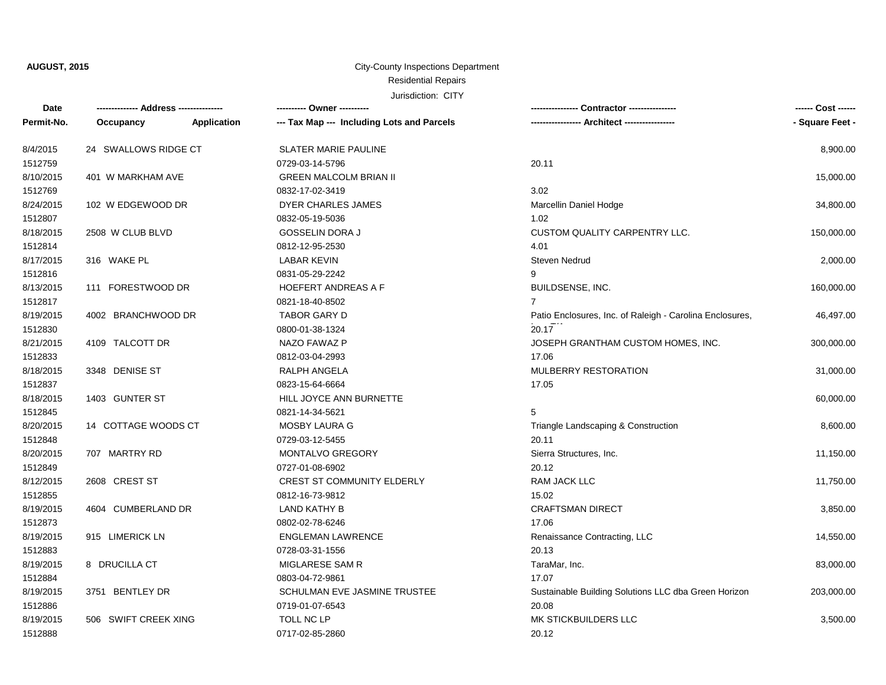### Residential Repairs City-County Inspections Department

| Date       | -------------- Address --------------- |                    | ---------- Owner ----------                | Contractor ---------------<br>--------------             | ------ Cost ------ |
|------------|----------------------------------------|--------------------|--------------------------------------------|----------------------------------------------------------|--------------------|
| Permit-No. | Occupancy                              | <b>Application</b> | --- Tax Map --- Including Lots and Parcels | ---- Architect -----------------                         | - Square Feet -    |
| 8/4/2015   | 24 SWALLOWS RIDGE CT                   |                    | <b>SLATER MARIE PAULINE</b>                |                                                          | 8,900.00           |
| 1512759    |                                        |                    | 0729-03-14-5796                            | 20.11                                                    |                    |
| 8/10/2015  | 401 W MARKHAM AVE                      |                    | <b>GREEN MALCOLM BRIAN II</b>              |                                                          | 15,000.00          |
| 1512769    |                                        |                    | 0832-17-02-3419                            | 3.02                                                     |                    |
| 8/24/2015  | 102 W EDGEWOOD DR                      |                    | DYER CHARLES JAMES                         | Marcellin Daniel Hodge                                   | 34,800.00          |
| 1512807    |                                        |                    | 0832-05-19-5036                            | 1.02                                                     |                    |
| 8/18/2015  | 2508 W CLUB BLVD                       |                    | <b>GOSSELIN DORA J</b>                     | CUSTOM QUALITY CARPENTRY LLC.                            | 150,000.00         |
| 1512814    |                                        |                    | 0812-12-95-2530                            | 4.01                                                     |                    |
| 8/17/2015  | 316 WAKE PL                            |                    | LABAR KEVIN                                | <b>Steven Nedrud</b>                                     | 2,000.00           |
| 1512816    |                                        |                    | 0831-05-29-2242                            | 9                                                        |                    |
| 8/13/2015  | 111 FORESTWOOD DR                      |                    | <b>HOEFERT ANDREAS A F</b>                 | BUILDSENSE, INC.                                         | 160,000.00         |
| 1512817    |                                        |                    | 0821-18-40-8502                            | $\overline{7}$                                           |                    |
| 8/19/2015  | 4002 BRANCHWOOD DR                     |                    | TABOR GARY D                               | Patio Enclosures, Inc. of Raleigh - Carolina Enclosures, | 46,497.00          |
| 1512830    |                                        |                    | 0800-01-38-1324                            | 20.17                                                    |                    |
| 8/21/2015  | 4109 TALCOTT DR                        |                    | NAZO FAWAZ P                               | JOSEPH GRANTHAM CUSTOM HOMES, INC.                       | 300,000.00         |
| 1512833    |                                        |                    | 0812-03-04-2993                            | 17.06                                                    |                    |
| 8/18/2015  | 3348 DENISE ST                         |                    | <b>RALPH ANGELA</b>                        | <b>MULBERRY RESTORATION</b>                              | 31,000.00          |
| 1512837    |                                        |                    | 0823-15-64-6664                            | 17.05                                                    |                    |
| 8/18/2015  | 1403 GUNTER ST                         |                    | HILL JOYCE ANN BURNETTE                    |                                                          | 60,000.00          |
| 1512845    |                                        |                    | 0821-14-34-5621                            | 5                                                        |                    |
| 8/20/2015  | 14 COTTAGE WOODS CT                    |                    | MOSBY LAURA G                              | Triangle Landscaping & Construction                      | 8,600.00           |
| 1512848    |                                        |                    | 0729-03-12-5455                            | 20.11                                                    |                    |
| 8/20/2015  | 707 MARTRY RD                          |                    | MONTALVO GREGORY                           | Sierra Structures, Inc.                                  | 11,150.00          |
| 1512849    |                                        |                    | 0727-01-08-6902                            | 20.12                                                    |                    |
| 8/12/2015  | 2608 CREST ST                          |                    | CREST ST COMMUNITY ELDERLY                 | RAM JACK LLC                                             | 11,750.00          |
| 1512855    |                                        |                    | 0812-16-73-9812                            | 15.02                                                    |                    |
| 8/19/2015  | 4604 CUMBERLAND DR                     |                    | <b>LAND KATHY B</b>                        | <b>CRAFTSMAN DIRECT</b>                                  | 3,850.00           |
| 1512873    |                                        |                    | 0802-02-78-6246                            | 17.06                                                    |                    |
| 8/19/2015  | 915 LIMERICK LN                        |                    | <b>ENGLEMAN LAWRENCE</b>                   | Renaissance Contracting, LLC                             | 14,550.00          |
| 1512883    |                                        |                    | 0728-03-31-1556                            | 20.13                                                    |                    |
| 8/19/2015  | 8 DRUCILLA CT                          |                    | MIGLARESE SAM R                            | TaraMar, Inc.                                            | 83,000.00          |
| 1512884    |                                        |                    | 0803-04-72-9861                            | 17.07                                                    |                    |
| 8/19/2015  | 3751 BENTLEY DR                        |                    | SCHULMAN EVE JASMINE TRUSTEE               | Sustainable Building Solutions LLC dba Green Horizon     | 203,000.00         |
| 1512886    |                                        |                    | 0719-01-07-6543                            | 20.08                                                    |                    |
| 8/19/2015  | 506 SWIFT CREEK XING                   |                    | TOLL NC LP                                 | MK STICKBUILDERS LLC                                     | 3,500.00           |
| 1512888    |                                        |                    | 0717-02-85-2860                            | 20.12                                                    |                    |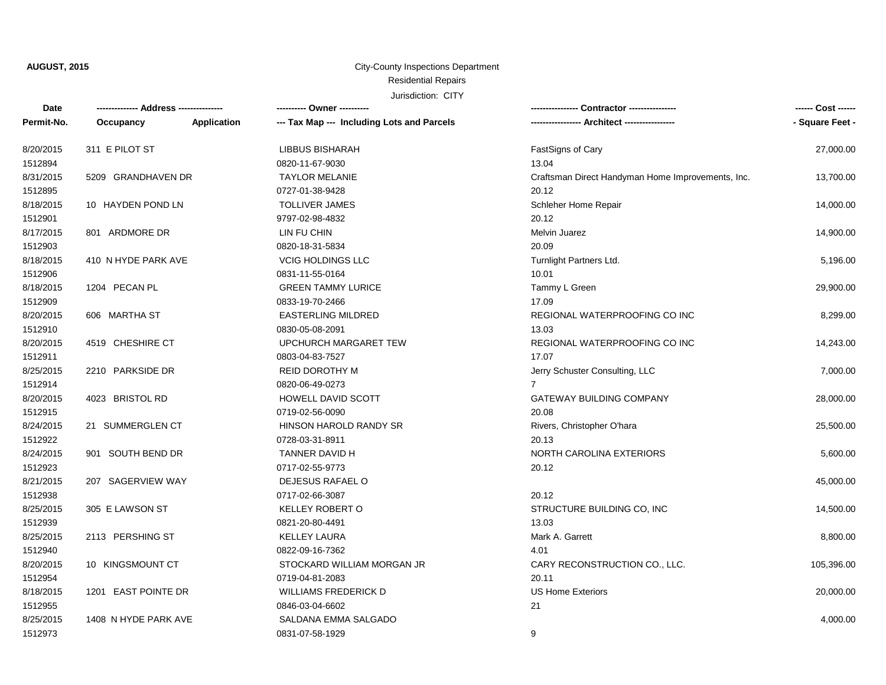## Residential Repairs City-County Inspections Department

| Date       |                      |             | ---------- Owner ----------                |                                                   | ------ Cost ------ |
|------------|----------------------|-------------|--------------------------------------------|---------------------------------------------------|--------------------|
| Permit-No. | Occupancy            | Application | --- Tax Map --- Including Lots and Parcels |                                                   | - Square Feet -    |
| 8/20/2015  | 311 E PILOT ST       |             | <b>LIBBUS BISHARAH</b>                     | FastSigns of Cary                                 | 27,000.00          |
| 1512894    |                      |             | 0820-11-67-9030                            | 13.04                                             |                    |
| 8/31/2015  | 5209 GRANDHAVEN DR   |             | <b>TAYLOR MELANIE</b>                      | Craftsman Direct Handyman Home Improvements, Inc. | 13,700.00          |
| 1512895    |                      |             | 0727-01-38-9428                            | 20.12                                             |                    |
| 8/18/2015  | 10 HAYDEN POND LN    |             | <b>TOLLIVER JAMES</b>                      | Schleher Home Repair                              | 14,000.00          |
| 1512901    |                      |             | 9797-02-98-4832                            | 20.12                                             |                    |
| 8/17/2015  | 801 ARDMORE DR       |             | LIN FU CHIN                                | <b>Melvin Juarez</b>                              | 14,900.00          |
| 1512903    |                      |             | 0820-18-31-5834                            | 20.09                                             |                    |
| 8/18/2015  | 410 N HYDE PARK AVE  |             | <b>VCIG HOLDINGS LLC</b>                   | Turnlight Partners Ltd.                           | 5,196.00           |
| 1512906    |                      |             | 0831-11-55-0164                            | 10.01                                             |                    |
| 8/18/2015  | 1204 PECAN PL        |             | <b>GREEN TAMMY LURICE</b>                  | Tammy L Green                                     | 29,900.00          |
| 1512909    |                      |             | 0833-19-70-2466                            | 17.09                                             |                    |
| 8/20/2015  | 606 MARTHA ST        |             | <b>EASTERLING MILDRED</b>                  | REGIONAL WATERPROOFING CO INC                     | 8,299.00           |
| 1512910    |                      |             | 0830-05-08-2091                            | 13.03                                             |                    |
| 8/20/2015  | 4519 CHESHIRE CT     |             | UPCHURCH MARGARET TEW                      | REGIONAL WATERPROOFING CO INC                     | 14,243.00          |
| 1512911    |                      |             | 0803-04-83-7527                            | 17.07                                             |                    |
| 8/25/2015  | 2210 PARKSIDE DR     |             | REID DOROTHY M                             | Jerry Schuster Consulting, LLC                    | 7,000.00           |
| 1512914    |                      |             | 0820-06-49-0273                            | $\overline{7}$                                    |                    |
| 8/20/2015  | 4023 BRISTOL RD      |             | HOWELL DAVID SCOTT                         | <b>GATEWAY BUILDING COMPANY</b>                   | 28,000.00          |
| 1512915    |                      |             | 0719-02-56-0090                            | 20.08                                             |                    |
| 8/24/2015  | 21 SUMMERGLEN CT     |             | HINSON HAROLD RANDY SR                     | Rivers, Christopher O'hara                        | 25,500.00          |
| 1512922    |                      |             | 0728-03-31-8911                            | 20.13                                             |                    |
| 8/24/2015  | 901 SOUTH BEND DR    |             | TANNER DAVID H                             | NORTH CAROLINA EXTERIORS                          | 5,600.00           |
| 1512923    |                      |             | 0717-02-55-9773                            | 20.12                                             |                    |
| 8/21/2015  | 207 SAGERVIEW WAY    |             | DEJESUS RAFAEL O                           |                                                   | 45,000.00          |
| 1512938    |                      |             | 0717-02-66-3087                            | 20.12                                             |                    |
| 8/25/2015  | 305 E LAWSON ST      |             | <b>KELLEY ROBERT O</b>                     | STRUCTURE BUILDING CO, INC                        | 14,500.00          |
| 1512939    |                      |             | 0821-20-80-4491                            | 13.03                                             |                    |
| 8/25/2015  | 2113 PERSHING ST     |             | <b>KELLEY LAURA</b>                        | Mark A. Garrett                                   | 8,800.00           |
| 1512940    |                      |             | 0822-09-16-7362                            | 4.01                                              |                    |
| 8/20/2015  | 10 KINGSMOUNT CT     |             | STOCKARD WILLIAM MORGAN JR                 | CARY RECONSTRUCTION CO., LLC.                     | 105,396.00         |
| 1512954    |                      |             | 0719-04-81-2083                            | 20.11                                             |                    |
| 8/18/2015  | 1201 EAST POINTE DR  |             | <b>WILLIAMS FREDERICK D</b>                | <b>US Home Exteriors</b>                          | 20,000.00          |
| 1512955    |                      |             | 0846-03-04-6602                            | 21                                                |                    |
| 8/25/2015  | 1408 N HYDE PARK AVE |             | SALDANA EMMA SALGADO                       |                                                   | 4,000.00           |
| 1512973    |                      |             | 0831-07-58-1929                            | 9                                                 |                    |